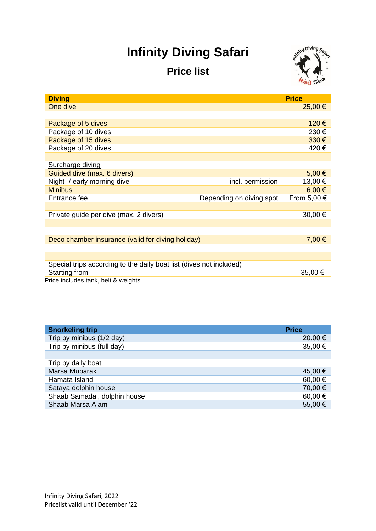## **Infinity Diving Safari**

## **Price list**



| <b>Diving</b>                                                       |                                             | <b>Price</b> |  |
|---------------------------------------------------------------------|---------------------------------------------|--------------|--|
| One dive                                                            | 25,00 €                                     |              |  |
|                                                                     |                                             |              |  |
| Package of 5 dives                                                  |                                             | 120€         |  |
| Package of 10 dives                                                 |                                             | 230€         |  |
| Package of 15 dives                                                 |                                             | 330€         |  |
| Package of 20 dives                                                 |                                             | 420€         |  |
|                                                                     |                                             |              |  |
| Surcharge diving                                                    |                                             |              |  |
| Guided dive (max. 6 divers)                                         | 5,00€                                       |              |  |
| Night- / early morning dive                                         | 13,00€<br>incl. permission                  |              |  |
| <b>Minibus</b>                                                      | $6,00 \in$                                  |              |  |
| Entrance fee                                                        | From 5,00 $\in$<br>Depending on diving spot |              |  |
|                                                                     |                                             |              |  |
| Private guide per dive (max. 2 divers)                              | 30,00 €                                     |              |  |
|                                                                     |                                             |              |  |
|                                                                     |                                             |              |  |
| Deco chamber insurance (valid for diving holiday)                   | 7,00 €                                      |              |  |
|                                                                     |                                             |              |  |
|                                                                     |                                             |              |  |
| Special trips according to the daily boat list (dives not included) |                                             |              |  |
| Starting from                                                       |                                             | 35,00 €      |  |
| Price includes tank, belt & weights                                 |                                             |              |  |

| <b>Snorkeling trip</b>       | <b>Price</b> |
|------------------------------|--------------|
| Trip by minibus (1/2 day)    | 20,00 €      |
| Trip by minibus (full day)   | 35,00 €      |
|                              |              |
| Trip by daily boat           |              |
| Marsa Mubarak                | 45,00 €      |
| Hamata Island                | 60,00€       |
| Sataya dolphin house         | 70,00€       |
| Shaab Samadai, dolphin house | 60,00€       |
| Shaab Marsa Alam             | 55,00€       |